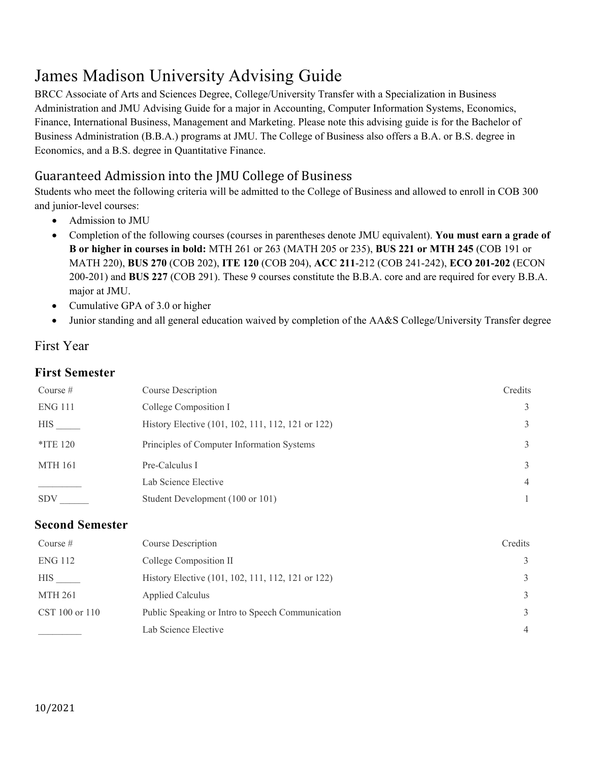# James Madison University Advising Guide

BRCC Associate of Arts and Sciences Degree, College/University Transfer with a Specialization in Business Administration and JMU Advising Guide for a major in Accounting, Computer Information Systems, Economics, Finance, International Business, Management and Marketing. Please note this advising guide is for the Bachelor of Business Administration (B.B.A.) programs at JMU. The College of Business also offers a B.A. or B.S. degree in Economics, and a B.S. degree in Quantitative Finance.

# Guaranteed Admission into the JMU College of Business

Students who meet the following criteria will be admitted to the College of Business and allowed to enroll in COB 300 and junior-level courses:

- Admission to JMU
- Completion of the following courses (courses in parentheses denote JMU equivalent). **You must earn a grade of B or higher in courses in bold:** MTH 261 or 263 (MATH 205 or 235), **BUS 221 or MTH 245** (COB 191 or MATH 220), **BUS 270** (COB 202), **ITE 120** (COB 204), **ACC 211**-212 (COB 241-242), **ECO 201-202** (ECON 200-201) and **BUS 227** (COB 291). These 9 courses constitute the B.B.A. core and are required for every B.B.A. major at JMU.
- Cumulative GPA of 3.0 or higher
- Junior standing and all general education waived by completion of the AA&S College/University Transfer degree

## First Year

#### **First Semester**

| Course $#$     | Course Description                                | Credits        |
|----------------|---------------------------------------------------|----------------|
| <b>ENG 111</b> | College Composition I                             | 3              |
| HIS            | History Elective (101, 102, 111, 112, 121 or 122) | 3              |
| $*$ ITE 120    | Principles of Computer Information Systems        | 3              |
| <b>MTH 161</b> | Pre-Calculus I                                    | 3              |
|                | Lab Science Elective                              | $\overline{4}$ |
| <b>SDV</b>     | Student Development (100 or 101)                  |                |

#### **Second Semester**

| Course $#$     | Course Description                                | Credits        |
|----------------|---------------------------------------------------|----------------|
| <b>ENG 112</b> | College Composition II                            | 3              |
| <b>HIS</b>     | History Elective (101, 102, 111, 112, 121 or 122) | 3              |
| <b>MTH 261</b> | <b>Applied Calculus</b>                           | 3              |
| CST 100 or 110 | Public Speaking or Intro to Speech Communication  | 3              |
|                | Lab Science Elective                              | $\overline{4}$ |